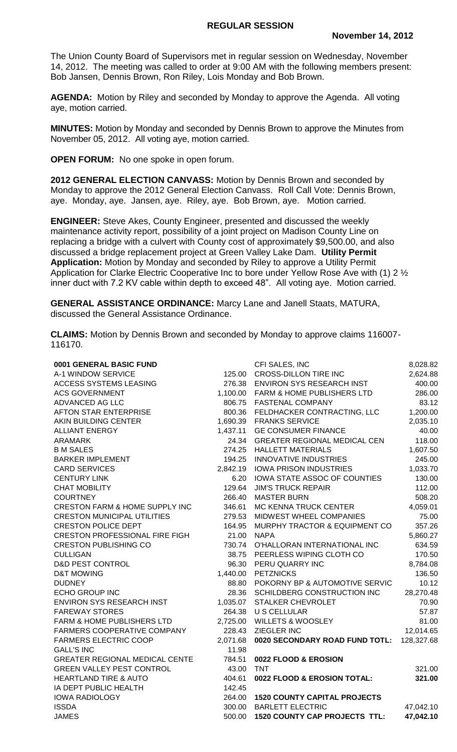The Union County Board of Supervisors met in regular session on Wednesday, November 14, 2012. The meeting was called to order at 9:00 AM with the following members present: Bob Jansen, Dennis Brown, Ron Riley, Lois Monday and Bob Brown.

**AGENDA:** Motion by Riley and seconded by Monday to approve the Agenda. All voting aye, motion carried.

**MINUTES:** Motion by Monday and seconded by Dennis Brown to approve the Minutes from November 05, 2012. All voting aye, motion carried.

**OPEN FORUM:** No one spoke in open forum.

**2012 GENERAL ELECTION CANVASS:** Motion by Dennis Brown and seconded by Monday to approve the 2012 General Election Canvass. Roll Call Vote: Dennis Brown, aye. Monday, aye. Jansen, aye. Riley, aye. Bob Brown, aye. Motion carried.

**ENGINEER:** Steve Akes, County Engineer, presented and discussed the weekly maintenance activity report, possibility of a joint project on Madison County Line on replacing a bridge with a culvert with County cost of approximately \$9,500.00, and also discussed a bridge replacement project at Green Valley Lake Dam. **Utility Permit Application:** Motion by Monday and seconded by Riley to approve a Utility Permit Application for Clarke Electric Cooperative Inc to bore under Yellow Rose Ave with (1) 2 ½ inner duct with 7.2 KV cable within depth to exceed 48". All voting aye. Motion carried.

**GENERAL ASSISTANCE ORDINANCE:** Marcy Lane and Janell Staats, MATURA, discussed the General Assistance Ordinance.

**CLAIMS:** Motion by Dennis Brown and seconded by Monday to approve claims 116007- 116170.

| 0001 GENERAL BASIC FUND                   |          | CFI SALES, INC                       | 8,028.82   |
|-------------------------------------------|----------|--------------------------------------|------------|
| A-1 WINDOW SERVICE                        | 125.00   | <b>CROSS-DILLON TIRE INC</b>         | 2,624.88   |
| <b>ACCESS SYSTEMS LEASING</b>             | 276.38   | ENVIRON SYS RESEARCH INST            | 400.00     |
| <b>ACS GOVERNMENT</b>                     |          | 1,100.00 FARM & HOME PUBLISHERS LTD  | 286.00     |
| ADVANCED AG LLC                           | 806.75   | <b>FASTENAL COMPANY</b>              | 83.12      |
| <b>AFTON STAR ENTERPRISE</b>              | 800.36   | FELDHACKER CONTRACTING, LLC          | 1,200.00   |
| AKIN BUILDING CENTER                      | 1,690.39 | <b>FRANKS SERVICE</b>                | 2,035.10   |
| <b>ALLIANT ENERGY</b>                     | 1,437.11 | <b>GE CONSUMER FINANCE</b>           | 40.00      |
| <b>ARAMARK</b>                            | 24.34    | <b>GREATER REGIONAL MEDICAL CEN</b>  | 118.00     |
| <b>B M SALES</b>                          |          | 274.25 HALLETT MATERIALS             | 1,607.50   |
| <b>BARKER IMPLEMENT</b>                   |          | 194.25 INNOVATIVE INDUSTRIES         | 245.00     |
| <b>CARD SERVICES</b>                      |          | 2,842.19 IOWA PRISON INDUSTRIES      | 1,033.70   |
| <b>CENTURY LINK</b>                       | 6.20     | IOWA STATE ASSOC OF COUNTIES         | 130.00     |
| <b>CHAT MOBILITY</b>                      | 129.64   | <b>JIM'S TRUCK REPAIR</b>            | 112.00     |
| <b>COURTNEY</b>                           | 266.40   | <b>MASTER BURN</b>                   | 508.20     |
| <b>CRESTON FARM &amp; HOME SUPPLY INC</b> | 346.61   | <b>MC KENNA TRUCK CENTER</b>         | 4,059.01   |
| <b>CRESTON MUNICIPAL UTILITIES</b>        | 279.53   | MIDWEST WHEEL COMPANIES              | 75.00      |
| <b>CRESTON POLICE DEPT</b>                | 164.95   | MURPHY TRACTOR & EQUIPMENT CO        | 357.26     |
| <b>CRESTON PROFESSIONAL FIRE FIGH</b>     | 21.00    | <b>NAPA</b>                          | 5,860.27   |
| <b>CRESTON PUBLISHING CO</b>              | 730.74   | O'HALLORAN INTERNATIONAL INC         | 634.59     |
| <b>CULLIGAN</b>                           | 38.75    | PEERLESS WIPING CLOTH CO             | 170.50     |
| <b>D&amp;D PEST CONTROL</b>               | 96.30    | PERU QUARRY INC                      | 8,784.08   |
| <b>D&amp;T MOWING</b>                     |          | 1,440.00 PETZNICKS                   | 136.50     |
| <b>DUDNEY</b>                             | 88.80    | POKORNY BP & AUTOMOTIVE SERVIC       | 10.12      |
| <b>ECHO GROUP INC</b>                     |          | 28.36 SCHILDBERG CONSTRUCTION INC    | 28,270.48  |
| ENVIRON SYS RESEARCH INST                 | 1,035.07 | <b>STALKER CHEVROLET</b>             | 70.90      |
| <b>FAREWAY STORES</b>                     | 264.38   | <b>U S CELLULAR</b>                  | 57.87      |
| FARM & HOME PUBLISHERS LTD                | 2,725.00 | <b>WILLETS &amp; WOOSLEY</b>         | 81.00      |
| FARMERS COOPERATIVE COMPANY               | 228.43   | <b>ZIEGLER INC</b>                   | 12,014.65  |
| <b>FARMERS ELECTRIC COOP</b>              | 2,071.68 | 0020 SECONDARY ROAD FUND TOTL:       | 128,327.68 |
| <b>GALL'S INC</b>                         | 11.98    |                                      |            |
| <b>GREATER REGIONAL MEDICAL CENTE</b>     | 784.51   | 0022 FLOOD & EROSION                 |            |
| <b>GREEN VALLEY PEST CONTROL</b>          | 43.00    | <b>TNT</b>                           | 321.00     |
| <b>HEARTLAND TIRE &amp; AUTO</b>          | 404.61   | 0022 FLOOD & EROSION TOTAL:          | 321.00     |
| IA DEPT PUBLIC HEALTH                     | 142.45   |                                      |            |
| <b>IOWA RADIOLOGY</b>                     | 264.00   | <b>1520 COUNTY CAPITAL PROJECTS</b>  |            |
| <b>ISSDA</b>                              | 300.00   | <b>BARLETT ELECTRIC</b>              | 47,042.10  |
| <b>JAMES</b>                              | 500.00   | <b>1520 COUNTY CAP PROJECTS TTL:</b> | 47,042.10  |
|                                           |          |                                      |            |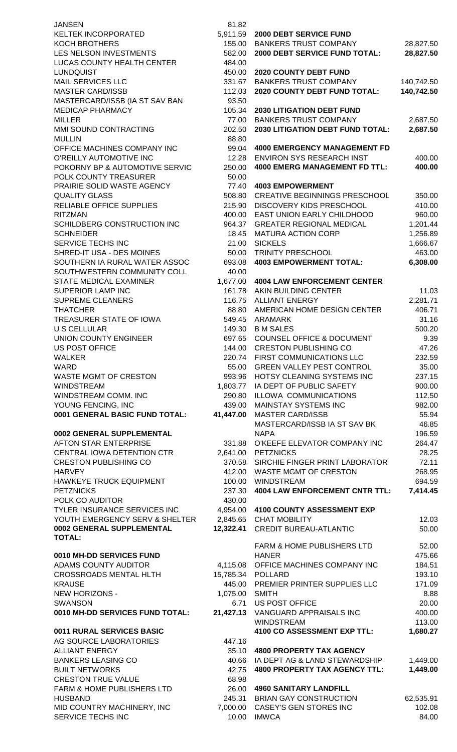| <b>JANSEN</b>                   | 81.82     |                                         |            |
|---------------------------------|-----------|-----------------------------------------|------------|
| KELTEK INCORPORATED             | 5,911.59  | 2000 DEBT SERVICE FUND                  |            |
| <b>KOCH BROTHERS</b>            | 155.00    | <b>BANKERS TRUST COMPANY</b>            | 28,827.50  |
| LES NELSON INVESTMENTS          | 582.00    | 2000 DEBT SERVICE FUND TOTAL:           | 28,827.50  |
| LUCAS COUNTY HEALTH CENTER      | 484.00    |                                         |            |
| <b>LUNDQUIST</b>                | 450.00    | <b>2020 COUNTY DEBT FUND</b>            |            |
| <b>MAIL SERVICES LLC</b>        | 331.67    | <b>BANKERS TRUST COMPANY</b>            | 140,742.50 |
| <b>MASTER CARD/ISSB</b>         | 112.03    | 2020 COUNTY DEBT FUND TOTAL:            | 140,742.50 |
| MASTERCARD/ISSB (IA ST SAV BAN  | 93.50     |                                         |            |
| <b>MEDICAP PHARMACY</b>         | 105.34    | <b>2030 LITIGATION DEBT FUND</b>        |            |
| <b>MILLER</b>                   | 77.00     | <b>BANKERS TRUST COMPANY</b>            | 2,687.50   |
| MMI SOUND CONTRACTING           | 202.50    | <b>2030 LITIGATION DEBT FUND TOTAL:</b> | 2,687.50   |
| <b>MULLIN</b>                   | 88.80     |                                         |            |
| OFFICE MACHINES COMPANY INC     | 99.04     | <b>4000 EMERGENCY MANAGEMENT FD</b>     |            |
| O'REILLY AUTOMOTIVE INC         | 12.28     | <b>ENVIRON SYS RESEARCH INST</b>        | 400.00     |
| POKORNY BP & AUTOMOTIVE SERVIC  | 250.00    | <b>4000 EMERG MANAGEMENT FD TTL:</b>    | 400.00     |
| POLK COUNTY TREASURER           | 50.00     |                                         |            |
| PRAIRIE SOLID WASTE AGENCY      | 77.40     | <b>4003 EMPOWERMENT</b>                 |            |
| <b>QUALITY GLASS</b>            | 508.80    | <b>CREATIVE BEGINNINGS PRESCHOOL</b>    | 350.00     |
|                                 |           |                                         |            |
| RELIABLE OFFICE SUPPLIES        | 215.90    | <b>DISCOVERY KIDS PRESCHOOL</b>         | 410.00     |
| <b>RITZMAN</b>                  | 400.00    | EAST UNION EARLY CHILDHOOD              | 960.00     |
| SCHILDBERG CONSTRUCTION INC     | 964.37    | <b>GREATER REGIONAL MEDICAL</b>         | 1,201.44   |
| <b>SCHNEIDER</b>                | 18.45     | <b>MATURA ACTION CORP</b>               | 1,256.89   |
| SERVICE TECHS INC               | 21.00     | <b>SICKELS</b>                          | 1,666.67   |
| SHRED-IT USA - DES MOINES       | 50.00     | TRINITY PRESCHOOL                       | 463.00     |
| SOUTHERN IA RURAL WATER ASSOC   | 693.08    | <b>4003 EMPOWERMENT TOTAL:</b>          | 6,308.00   |
| SOUTHWESTERN COMMUNITY COLL     | 40.00     |                                         |            |
| <b>STATE MEDICAL EXAMINER</b>   | 1,677.00  | <b>4004 LAW ENFORCEMENT CENTER</b>      |            |
| SUPERIOR LAMP INC               | 161.78    | AKIN BUILDING CENTER                    | 11.03      |
| <b>SUPREME CLEANERS</b>         | 116.75    | <b>ALLIANT ENERGY</b>                   | 2,281.71   |
| <b>THATCHER</b>                 | 88.80     | AMERICAN HOME DESIGN CENTER             | 406.71     |
| TREASURER STATE OF IOWA         | 549.45    | <b>ARAMARK</b>                          | 31.16      |
| <b>U S CELLULAR</b>             | 149.30    | <b>B M SALES</b>                        | 500.20     |
| UNION COUNTY ENGINEER           | 697.65    | <b>COUNSEL OFFICE &amp; DOCUMENT</b>    | 9.39       |
| <b>US POST OFFICE</b>           | 144.00    | <b>CRESTON PUBLISHING CO</b>            | 47.26      |
| <b>WALKER</b>                   |           | 220.74 FIRST COMMUNICATIONS LLC         | 232.59     |
| WARD                            | 55.00     | <b>GREEN VALLEY PEST CONTROL</b>        | 35.00      |
| WASTE MGMT OF CRESTON           | 993.96    | HOTSY CLEANING SYSTEMS INC              | 237.15     |
| <b>WINDSTREAM</b>               | 1,803.77  | IA DEPT OF PUBLIC SAFETY                | 900.00     |
| <b>WINDSTREAM COMM. INC</b>     | 290.80    | <b>ILLOWA COMMUNICATIONS</b>            | 112.50     |
| YOUNG FENCING, INC              | 439.00    | MAINSTAY SYSTEMS INC                    | 982.00     |
| 0001 GENERAL BASIC FUND TOTAL:  | 41,447.00 | <b>MASTER CARD/ISSB</b>                 | 55.94      |
|                                 |           | MASTERCARD/ISSB IA ST SAV BK            | 46.85      |
| 0002 GENERAL SUPPLEMENTAL       |           | <b>NAPA</b>                             | 196.59     |
| <b>AFTON STAR ENTERPRISE</b>    | 331.88    | O'KEEFE ELEVATOR COMPANY INC            | 264.47     |
| CENTRAL IOWA DETENTION CTR      | 2,641.00  | <b>PETZNICKS</b>                        | 28.25      |
| <b>CRESTON PUBLISHING CO</b>    |           | SIRCHIE FINGER PRINT LABORATOR          | 72.11      |
|                                 | 370.58    |                                         |            |
| <b>HARVEY</b>                   | 412.00    | <b>WASTE MGMT OF CRESTON</b>            | 268.95     |
| HAWKEYE TRUCK EQUIPMENT         | 100.00    | <b>WINDSTREAM</b>                       | 694.59     |
| <b>PETZNICKS</b>                | 237.30    | <b>4004 LAW ENFORCEMENT CNTR TTL:</b>   | 7,414.45   |
| POLK CO AUDITOR                 | 430.00    |                                         |            |
| TYLER INSURANCE SERVICES INC    |           | 4,954.00 4100 COUNTY ASSESSMENT EXP     |            |
| YOUTH EMERGENCY SERV & SHELTER  | 2,845.65  | <b>CHAT MOBILITY</b>                    | 12.03      |
| 0002 GENERAL SUPPLEMENTAL       | 12,322.41 | <b>CREDIT BUREAU-ATLANTIC</b>           | 50.00      |
| <b>TOTAL:</b>                   |           |                                         |            |
|                                 |           | <b>FARM &amp; HOME PUBLISHERS LTD</b>   | 52.00      |
| 0010 MH-DD SERVICES FUND        |           | <b>HANER</b>                            | 475.66     |
| ADAMS COUNTY AUDITOR            | 4,115.08  | OFFICE MACHINES COMPANY INC             | 184.51     |
| <b>CROSSROADS MENTAL HLTH</b>   |           | 15,785.34 POLLARD                       | 193.10     |
| <b>KRAUSE</b>                   |           | 445.00 PREMIER PRINTER SUPPLIES LLC     | 171.09     |
| <b>NEW HORIZONS -</b>           | 1,075.00  | <b>SMITH</b>                            | 8.88       |
| <b>SWANSON</b>                  | 6.71      | <b>US POST OFFICE</b>                   | 20.00      |
| 0010 MH-DD SERVICES FUND TOTAL: |           | 21,427.13 VANGUARD APPRAISALS INC       | 400.00     |
|                                 |           | <b>WINDSTREAM</b>                       | 113.00     |
| 0011 RURAL SERVICES BASIC       |           | 4100 CO ASSESSMENT EXP TTL:             | 1,680.27   |
| AG SOURCE LABORATORIES          | 447.16    |                                         |            |
| <b>ALLIANT ENERGY</b>           | 35.10     | <b>4800 PROPERTY TAX AGENCY</b>         |            |
| <b>BANKERS LEASING CO</b>       | 40.66     | IA DEPT AG & LAND STEWARDSHIP           | 1,449.00   |
| <b>BUILT NETWORKS</b>           | 42.75     | <b>4800 PROPERTY TAX AGENCY TTL:</b>    | 1,449.00   |
| <b>CRESTON TRUE VALUE</b>       | 68.98     |                                         |            |
| FARM & HOME PUBLISHERS LTD      | 26.00     | <b>4960 SANITARY LANDFILL</b>           |            |
| <b>HUSBAND</b>                  | 245.31    | <b>BRIAN GAY CONSTRUCTION</b>           | 62,535.91  |
| MID COUNTRY MACHINERY, INC      | 7,000.00  | <b>CASEY'S GEN STORES INC</b>           | 102.08     |
| SERVICE TECHS INC               | 10.00     | <b>IMWCA</b>                            | 84.00      |